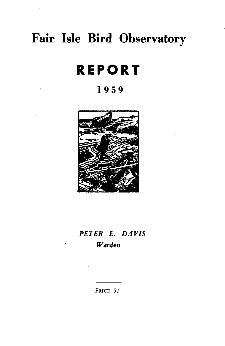# **Fair Isle Bird Observatory**

# **REPORT**

# **1959**



# *PETER E. DAVIS Warden*

PRICE 5/-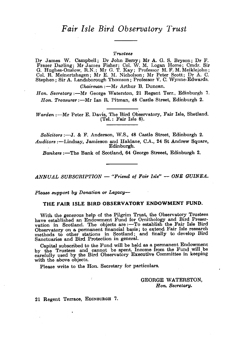#### *Trustees*

Dr James W. Campbell; Dr John Berry; Mr A. G. S. Bryson; Dr F. Fraser Darling; Mr James Fisher; Col. \V. M. Logan Home; Cmdr. Sir G. Hughes-Onslow, R.N.; Mr G. 1'. Kay; Professor M. F. M. Meiklejohn ; Col. R. Meinertzhagen; Mr E. M. Nicholson; Mr Peter Scott; Dr A. C. Stephen; Sir A. Landsborough Thomson; Professor V. C. Wynne-Edwards.

*Chairman* :- Mr Arthur B. Duncan.

*Hon. Secretary*:--Mr George Waterston, 21 Regent Terr., Edinburgh 7. *Hon. Treasurer* :- Mr Ian R. Pitman, 48 Castle Street, Edinburgh 2.

*Warden* :- Mr Peter E. Davis, The Bird Observatory, Fair Isle, Shetland. (Tel.: Fair Isle 8).

*Solicitors* :-J. & F. Anderson, W.S., 48 Castle Street, Edinburgh 2. *Auditors* :-Lindsay, Jamieson and Haldane, C.A., 24 St Andrew Square, ...<br>Edinburgh.

Bankers :- The Bank of Scotland, 64 George Streeet, Edinburgh 2.

*ANNUAL SUBSORIPTION* - *"Friend of Fair Isle"* - *ONE GUINEA.* 

*Please support by Donation or Legacy-*

#### THE FAIR ISLE BIRD OBSERVATORY ENDOWMENT FUND.

With the generous help of the Pilgrim Trust, the Observatory Trustees have established an Endowment Fund for Ornithology and Bird Preservation in Scotland. The objects are :- To establish the Fair Isle Bird Observatory on a permanent financial basis; to extend Fair Isle research methods to other stations in Scotland; and finally to develop Bird Sanctuaries and Bird Protection in general.

Capital subscribed to the Fund will be held as a permanent Endowment by the Trustees and cannot be spent. Income from the Fund will be carefully used by the Bird Observatory Executive Committee in keeping with the above objects.

Please write to the Hon. Secretary for particulars.

GEORGE WATERSTON, *Hon. Secretary.* 

21 Regent Terrace, EDINBURGH 7.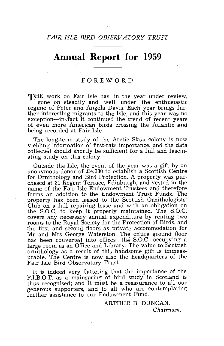# **Annual Report for 1959**

### **FOREWORD**

**THE** work on Fair Isle has, in the year under review, gone on steadily and well under the enthusiastic regime of Peter and Angela Davis. Each year brings further interesting migrants to the Isle, and this year was no exception-in,fact it continued the trend of recent years of even more American birds crossing the Atlantic and being recorded at Fair Isle.

The long-term study of the Arctic Skua colony is now yielding information of first-rate importance, and the data collected should shortly be sufficient for a full and fascinating study on this colony.

Outside the Isle, the event of the year was a gift by an anonymous donor of £4,000 to establish a Scottish Centre for Ornithology and Bird Protection. A property was purchased at 21 Regent Terrace, Edinburgh, and vested in the name of the Fair Isle Endowment Trustees and therefore forms an addition to the Endowment Trust Funds. The property has been leased to the Scottish Ornithologists' Club on a full repairing lease and with an obligation on the S.O.C. to keep it properly maintained. The S.O.C. covers any necessary annual expenditure by renting two rooms to the Royal Society for the Protection of Birds, and the first and second floors as private accommodation for Mr and Mrs George Waterston. The entire ground floor has been converted into offices-the S.O.C. occupying a large room as an Office and Library. The value to Scottish ornithology as a result of this handsome gift is immeasurable. The Centre is now also the headquarters of the Fair Isle Bird Observatory Trust.

It is indeed very flattering that the importance of the F.I.B.O.T. as a mainspring of bird study in Scotland is thus recognised; and it must be a reassurance to all our generous supporters, and to all who are contemplating further assistance to our Endowment Fund.

> ARTHUR B. DUNCAN, *Chairman.*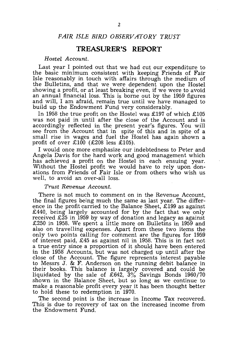### *FAIR ISLE BIRD OBSERVATORY TRUST*

### **TREASURER'S REPORT**

#### *Hostel Account.*

Last year I pointed *out* that we had cut our expenditure to the basic minimum consistent with keeping Friends of Fair Isle reasonably in touch with affairs through the medium of the Bulletins, and that we were dependent upon the Hostel showing a profit, or at least breaking even, if we were to avoid an annual financial loss. This is borne out by the 1959 figures and will, I am afraid, remain true until we have managed to build up the Endowment Fund very considerably.

In 1958 the true profit on the Hostel was £197 of which £105 was not paid in until after the close of the Account and is accordingly reflected in the present year's figures. You will see from the Account that in spite of this and in spite of a small rise in wages and fuel the Hostel has again shown a profit of over  $\text{\pounds}100$  ( $\text{\pounds}208$  less  $\text{\pounds}105$ ).

I would once more emphasize our indebtedness to Peter and Angela Davis for the hard work and good management which has achieved a profit on the Hostel in each ensuing year. Without the Hostel profit we would have to rely upon donations from Friends of Fair Isle or from others who wish us well, to avoid an over-all loss.

#### *Trust Revenue Account.*

There is not much to comment on in the Revenue Account, the final figures being much the same as last year. The difference in the profit carried to the Balance Sheet, £199 as against £440, being largely accounted for by the fact that we only received £25 in 1959 by way of donation and legacy as against £250 in 1958. We spent a little more on Bulletins in 1959 and also on travelling expenses. Apart from these two items the only two points calling for comment are the figures for 1959 of interest paid, £45 as against nil in 1958. This is in fact not a true entry since a proportion of it should have been entered in the 1958 Accounts, but was not charged up until after the close of the Account. The figure represents interest payable to Messrs J. & F. Anderson on the running debit balance in their books. This balance is largely covered and could be liquidated by the sale of £642, 3% Savings Bonds 1960/70 shown in the Balance Sheet, but so long as we continue to make a reasonable profit every year it has been thought better to hold these to redemption in 1970.

The second point is the increase in Income Tax recovered. This is due to recovery of tax on the increased income from the Endowment Fund.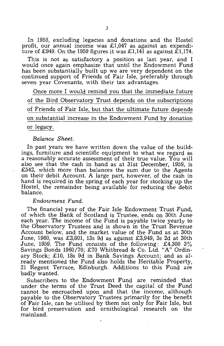In 1958, excluding legacies and donations and the Hostel profit, our annual income was £1,047 as against an expenditure of £949. On the 1959 figures it was £1,141 as against  $\hat{\pounds}1,174$ .

This is not as satisfactory a position as last year, and I would once again emphasize that until the Endowment Fund has been substantially built up we are very dependent on the continued support of Friends of Fair Isle, preferably through seven year Covenants, with their tax advantages.

Once more I would remind you that the immediate future of the Bird Observatory Trust depends on the subscriptions of Friends of Fair Isle, but that the ultimate future depends on substantial increase in the Endowment Fund by donation or legacy.

#### *Balance Sheet.*

In past years we have written down the value of the buildings, furniture and scientific equipment to what we regard as a reasonably accurate assessment of their true value. You will also see that the cash in hand as at 31st December, 1959, is £542, which more than balances the sum due to the Agents on their debit Account. A large part, however, of the cash in hand is required in the spring of each year for stocking up the Hostel, the remainder being available for reducing the debit balance.

#### *Endowment Fund.*

The financial year of the Fair Isle Endowment Trust Fund, of which the Bank of Scotland is Trustee, ends on 30th June each year. The income of the Fund is payable twice yearly to the Observatory Trustees and is shown in the Trust Revenue Account below, and the market value of the Fund as at 30th June, 1960, was £3,801, 13s 9d as against £3,949, 3s 2d at 30th June, 1959. The Fund consists of the following: £4,300 3% Savings Bonds 1960/70; £70 Whitbread & Co. Ltd. "A" Ordinary Stock; £10, 18s 9d in Bank Savings Account; and as already mentioned the Fund also holds the Heritable Property, 21 Regent Terrace, Edinburgh. Additions to this Fund are badly wanted.

Subscribers to the Endowment Fund are reminded that under the terms of the Trust Deed the capital of the Fund cannot be encroached upon and that the income, although payable to the Observatory Trustees primarily for the benefit of Fair Isle, can be utilised by them not only for Fair Isle, but for bird preservation and ornithological research on the mainland.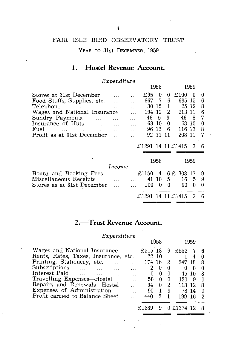# FAIR ISLE BIRD OBSERVATORY TRUST

YEAR TO 31st DECEMBER, 1959

# 1.-Hostel Revenue Account.

### *ExPenditure*

|                                         |           |          |       | 1958  |    |                   | 1959 |   |
|-----------------------------------------|-----------|----------|-------|-------|----|-------------------|------|---|
| Stores at 31st December                 |           |          | £95   | 0     | 0  | £100              | ∩    | 0 |
| Food Stuffs, Supplies, etc.             |           |          | 667   | 7     | 6  | 635               | 15   | 6 |
| Telephone<br>and the state of the state | $\ddotsc$ |          |       | 30 15 | 1  | 25                | -12  | 8 |
| Wages and National Insurance            |           |          | 194   | 12    | 2  | 213               | -11  | 6 |
| Sundry Payments<br>$\ddotsc$            |           |          | 46    | 5.    | 9  | 46                | -8   | 7 |
| Insurance of Huts                       |           | $\cdots$ | 68    | -10   | 0  | 68.               | 10   | 0 |
| Fuel<br>$\mathbf{A}$<br>sales and sales | $\cdots$  | $\cdots$ | 96.   | -12   | 6  | 116               | 13   | 8 |
| Profit as at 31st December              |           |          | 92    | 11    | 11 | 208               | 11   | 7 |
|                                         |           |          |       |       |    |                   |      |   |
|                                         |           |          |       |       |    | £1291 14 11 £1415 | 3    | 6 |
|                                         |           |          |       |       |    |                   |      |   |
|                                         |           |          |       | 1958  |    |                   | 1959 |   |
|                                         | Income    |          |       |       |    |                   |      |   |
|                                         |           |          | £1150 | 4     |    | 6 £1308 17        |      | 9 |
| Board and Booking Fees                  |           |          |       |       |    |                   |      |   |
| Miscellaneous Receipts                  |           |          |       | 41 10 | 5  | 16                | 5    | 9 |
| Stores as at 31st December              | $\ddotsc$ |          | 100   | 0     | ∩  | 90                | 0    | 0 |
|                                         |           |          | £1291 | 14    |    | 11 £1415          | 3    | 6 |
|                                         |           |          |       |       |    |                   |      |   |

# 2.-Trust Revenue Account.

### *Expenditure*

|                                              | 1958                            |                | 1959       |          |
|----------------------------------------------|---------------------------------|----------------|------------|----------|
| Wages and National Insurance                 | £515 18                         | 9              | £552       | -6       |
| Rents, Rates, Taxes, Insurance, etc.         | 22 10                           |                | 11<br>4    | 0        |
| Printing, Stationery, etc.                   | 174 16                          | 2              | 247<br>-18 | 8        |
| Subscriptions                                | 2<br>0<br>.                     | 0              | 0<br>0     |          |
| Interest Paid<br>$\sim$ $\sim$ $\sim$ $\sim$ | $\theta$<br>0                   | $\theta$       | 45 10      | 8        |
| Travelling Expenses-Hostel                   | $\theta$<br>50<br>.             | $\theta$       | 120<br>9   | $\Omega$ |
| Repairs and Renewals-Hostel                  | 94<br>$\theta$                  | 2              | 118<br>12  | 8        |
| Expenses of Administration                   | 90<br>$\mathbf{1}$<br>$\ddotsc$ | - 9            | 78 14      | - 0      |
| Profit carried to Balance Sheet              | 2.<br>440                       | $\overline{1}$ | 199<br>16  | 2        |
|                                              | 9                               |                | 0 £1374 12 |          |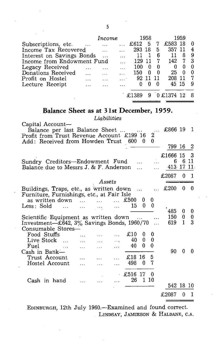|                            | Income |       | 1958 |          |            | 1959 |   |
|----------------------------|--------|-------|------|----------|------------|------|---|
| Subscriptions, etc.        |        | £612  | 5    |          | £583       |      |   |
| Income Tax Recovered       |        | 293   | 18   | 5        | 357        |      |   |
| Interest on Savings Bonds  |        |       |      | 6        |            | 8    | 9 |
| Income from Endowment Fund |        | 129   |      | 7        | 142        | 7    | 3 |
| Legacy Received            |        | 100   |      | 0        |            |      |   |
| Donations Received         |        | 150   | 0    | $\Omega$ | 25         | O    |   |
| Profit on Hostel           |        | 92    |      | 11       | 208        |      | 7 |
| Lecture Receipt            |        |       |      | 0        | 45 15      |      |   |
|                            |        | -£138 |      |          | 0 £1374 12 |      |   |

# **Balance Sheet as at 31st December, 1959.**

*Liabilities* 

| Capital Account-                                                                                        |                                                        |                              |                |               |              |              |           |              |                |
|---------------------------------------------------------------------------------------------------------|--------------------------------------------------------|------------------------------|----------------|---------------|--------------|--------------|-----------|--------------|----------------|
| Balance per last Balance Sheet<br>Profit from Trust Revenue Account £199 16                             |                                                        |                              |                |               |              | 2            | £866 19   |              | -1             |
| Add: Received from Howden Trust 600 0                                                                   |                                                        |                              |                |               |              | 0            |           |              |                |
|                                                                                                         |                                                        |                              |                |               |              |              | 799 16    |              | 2              |
|                                                                                                         |                                                        |                              |                |               |              |              | £1666 15  |              | 3              |
| Sundry Creditors--Endowment Fund                                                                        |                                                        |                              |                |               |              | $\cdots$     | 6         |              | 6 11           |
| Balance due to Messrs J. & F. Anderson                                                                  |                                                        |                              |                |               | $\ddotsc$    |              | 413 17 11 |              |                |
|                                                                                                         |                                                        |                              |                |               |              |              | £2087     | 0            | $\blacksquare$ |
|                                                                                                         |                                                        | Assets                       |                |               |              |              | £200      | 0            | 0              |
| Buildings, Traps, etc., as written down<br>Furniture, Furnishings, etc., at Fair Isle                   |                                                        |                              |                | $\cdots$      |              |              |           |              |                |
| as written down $\dots$ $\dots$                                                                         |                                                        |                              |                | £500          | 0            | 0            |           |              |                |
| Less: Sold<br>$\mathbf{1}_{\mathbf{1}}$ , and $\mathbf{1}_{\mathbf{1}}$ , and $\mathbf{1}_{\mathbf{1}}$ |                                                        | $\sim 10^{11}$ km $^{-1}$    |                | 15            | $\Omega$     | $\mathbf{0}$ | 485       | 0            |                |
| Scientific Equipment as written down                                                                    |                                                        |                              |                |               |              | .            | 150       | 0            | 0<br>$\bf{0}$  |
| Investment— $\text{\pounds}642$ , $3\%$ Savings Bonds, 1960/70                                          |                                                        |                              |                |               |              | $\ddotsc$    | 619       | $\mathbf{1}$ | 3              |
| Consumable Stores—                                                                                      |                                                        |                              |                |               |              |              |           |              |                |
| Food Stuffs<br>Live Stock<br>$\sim$ 1.11                                                                | $\cdots$<br>$\mathbf{1}$ , $\mathbf{1}$ , $\mathbf{1}$ | $\mathbf{1}$<br>$\mathbf{1}$ | $\overline{a}$ | £10<br>40     | 0<br>0       | 0<br>0       |           |              |                |
| Fuel<br>$\cdots$                                                                                        | $\ddotsc$                                              | $\cdots$                     |                | 40            | 0            | 0            |           |              |                |
| Cash in Bank—                                                                                           |                                                        |                              |                |               |              |              | 90        | 0            | o              |
| Trust Account                                                                                           | $\cdots$                                               | $\cdots$                     |                | £18 16<br>498 | $\Omega$     | 5<br>7       |           |              |                |
| Hostel Account                                                                                          | $\ddotsc$                                              | .                            |                |               |              |              |           |              |                |
|                                                                                                         |                                                        |                              |                | - £516 17     |              | -0           |           |              |                |
| Cash in hand                                                                                            |                                                        |                              |                | 26            | $\mathbf{1}$ | -10          |           |              |                |
|                                                                                                         |                                                        |                              |                |               |              |              | 542 18 10 |              |                |
|                                                                                                         |                                                        |                              |                |               |              |              | £2087     | 0            | 1              |

EDINBURGH, 12th July 1960.-Examined and found correct. LINDSAY, JAMIESON & HALDANE, C.A.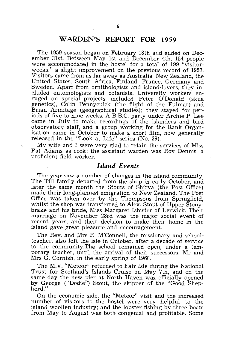## **WARDEN'S REPORT FOR 1959**

The 1959 season began On February 18th and ended on December 31st. Between May 1st and December 4th, 154 people were accommodated in the hostel for a total of 199 "visitorweeks," a slight improvement on the previous record of 1957. Visitors came from as far away as Australia, New Zealand, the United States, South Africa, Finland, France, Germany and Sweden. Apart from ornithologists and island-lovers, they included entomologists and botanists. University workers engaged on special projects included Peter O'Donald (skua genetics), Colin Pennycuick (the flight of the Fulmar) and Brian Armitage (geographical studies); they stayed for periods of five to nine weeks. A B.B.C. party under Archie P. Lee came in July to make recordings of the islanders and bird observatory staff, and a group working for the Rank Organisation came in October to make a short film, now generally released in the "Look at Life" series (No. 39).

My wife and I were very glad to retain the services of Miss Pat Adams as cook; the assistant warden was Roy Dennis, a proficient field worker.

### *Island Events*

The year saw a number of changes in the island community. The Till family departed from the shop in early October, and later the same month the Stouts of Shirva (the Post Office) made their long-planned emigration to New Zealand. The Post Office was taken over by the Thompsons from Springfield, whilst the shop was transferred to Alex. Stout of Upper Stonybrake and his bride, Miss Margaret Isbister of Lerwick. Their marriage on November 23rd was the major social event of recent years, and their decision to make their home in the island gave great pleasure and encouragement.

The Rev. and Mrs R. M'Connell, the missionary and schoolteacher, also left the isle in October, after a decade of service to the community. The school remained open, under a temporary teacher, until the arrival of their successors, Mr and Mrs G. Cornish, in the early spring of 1960.

The M.V. "Meteor" returned to Fair Isle during the National· Trust for Scotland's Islands Cruise on May 7th, and on the same day the new pier at North Haven was officially opened by George ("Dodie") Stout, the skipper of the "Good Shepherd."

On the economic side, the "Meteor" visit and the increased number of visitors to the hostel were very helpful to the island woollen industry; and the lobster fishing by three boats from May to August was both congenial and profitable. Some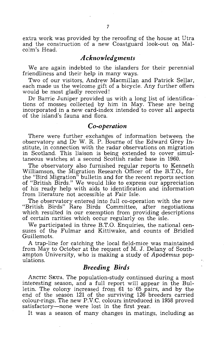extra work was provided by the reroofing of the house at Utra and the construction of a new Coastguard look-out on Malcolm's Head.

### *A cknowled gments*

We are again indebted to the islanders for their perennial friendliness and their help in many ways.

Two of our visitors, Andrew Macmillan and Patrick Sellar, each made us the welcome gift of a bicycle. Any further offers would be most gladly received!

Dr Barrie Juniper provided us with a long list of identifications of mosses collected by him in May. These are being incorporated in a new card-index intended to cover all aspects of the island's fauna and flora.

### $Co$ -operation

There were further exchanges of information between the observatory and Dr W. R. P. Bourne of the Edward Grey Institute, in connection with the radar observations on migration in Scotland. This liaison is being extended to cover simultaneous watches at a second Scottish radar base in 1960.

The observatory also furnished regular reports to Kenneth Williamson, the Migration Research Officer of the B.T.O., for the "Bird Migration" bulletin and for the recent reports section of "British Birds." We would like to express our appreciation of his ready help with aids to identification and information from literature not accessible at Fair Isle.

The observatory entered into full co-operation with the new "British Birds" Rare Birds Committee, after negotiations which resulted in our exemption from providing descriptions of certain rarities which occur regularly on the isle.

We participated in three B.T.O. Enquiries, the national censuses of the Fulmar and Kittiwake, and counts of Bridled Guillemots.

A trap-line for catching the local field-mice was maintained from May to October at the request of M. J. Delany of Southampton University, who is making a study of *Apodemus* populations.

### *Breeding Birds*

ARCTIC SKUA. The population-study continued during a most interesting season, and a full report will appear in the Bulletin. The colony increased from **61** to' 65 pairs, and by the end of the season **121** of the surviving 126 breeders carried colour-rings. The new P.V.C. colours introduced in 1958 proved satisfactory—none were lost in the first year.

It was a season of many changes in matings, including as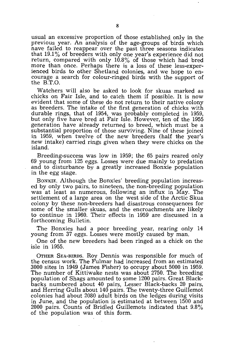usual an excessive proportion of those established only in the previous year. An analysis of the age-groups of 'birds which have failed to reappear over the past three seasons indicates that 19.1 % of breeders with only one year's experience did not return, compared with only  $10.8\%$  of those which had bred more than once. Perhaps there is a loss of these less-experienced birds to other Shetland colonies, and we hope to encourage a search for colour-ringed birds with the support of the B.T.O.

Watchers will also be asked to look for skuas marked as chicks on Fair Isle, and to catch them if possible. It is now evident that some of these do not return to their native colony as breeders. The intake of the first generation of chicks with durable rings, that of 1954, was probably completed in 1959, but only five have bred at Fair Isle. However, ten of the 1955 generation have already returned to breed, which must 'be a substantial proportion of those surviving. Nine of these joined in 1959, when twelve of the new breeders (half the year's new intake) carried rings given when they were chicks on the island.

Breeding-success was low in 1959; the 65 pairs reared only 69 young from 125 eggs. Losses were due mainly to predation and to disturbance by a greatly increased Bonxie population in the egg stage.

BONXIE. Although the Bonxies' breeding population increased by only two pairs, to nineteen, the non-breeding population was at least as numerous, following an influx in May. The settlement of a large area on the west side of the Arctic Skua colony by these non-breeders had disastrous consequences for some of the smaller skuas, and the encroachments are likely to continue in 1960. Their effects in 1959 are discussed in a forthcoming Bulletin.

The Bonxies had a poor breeding year, rearing only 14 young from 37 eggs. Losses were mostly caused by man.

One of the new breeders had been ringed as a chick on the isle in 1955.

OTHER SEA-BIRDS. Roy Dennis was responsible for much of the census work. The Fulmar had increased from an estimated 3000 sites in 1949 (James Fisher) to occupy about 5000 in 1959. The number of Kittiwake nests was about 2750. The breeding population of Shags amounted to some 1200 pairs. Great Blackbacks numbered about 40 pairs, Lesser Black-backs 20 pairs, and Herring Gulls about 140 pairs. The twenty-three Guillemot colonies had about 2080 adult birds on the ledges during visits in June, and the population is estimated at between 1500 and 2000 pairs. Counts of Bridled Guillemots indicated that 9.8% of the population was of this form.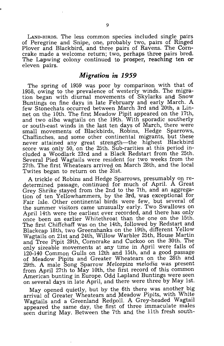LAND-BIRDS. The less common species included single pairs of Peregrine and Snipe, one, probably two, pairs of Ringed Plover and Blackbird, and three pairs of Ravens. The Corncrake made a welcome return; two, perhaps three pairs bred. The Lapwing colony continued to prosper, reaching ten or eleven pairs.

### *Migration in 1959*

The spring of 1959 was poor by comparison with that of 1958, owing to the prevalence of westerly winds. The migration began with diurnal movements of Skylarks and Snow Buntings on fine days in late February and early March. A few Stonechats occurred between March 3rd and 20th, a Linnet on the 10th. The first Meadow Pipit appeared on the 17th, and two *alba* wagtails on the 19th. With sporadic southerly or south-east winds in the last ten days of March, there were small movements of Blackbirds, Robins, Hedge Sparrows, Chaffinches, and some other continental migrants, but these never attained any great strength-the highest Blackbird score was only 50, on the 25th. Sub-rarities at this period included a Woodlark 23rd and a Black Redstart from the 25th. Several Pied Wagtails were resident for two weeks from the 27th. The first Wheatears arrived on March 28th, and the local Twites began to return on the 31st.

A trickle of Robins and Hedge Sparrows, presumably On redetermined passage, continued for much of April. A Great Grey Shrike stayed from the 2nd to the 7th, and an aggregation of ten Yellowhammers, by the 3rd, was exceptional for Fair Isle. Other continental birds were few, but several of the summer visitors came unusually early. Two Swallows on April 14th were the earliest ever recorded, and there has only once been an earlier Whitethroat than the one on the 15th. The first Chiffchaff was on the 14th, followed by Redstart and Blackcap 18th, two Greenshanks on the 19th, different Yellow Wagtails on 21st and 24th, Willow Warbler 25th, House Martin and Tree Pipit 29th, Corncrake and Cuckoo on the 30th. The only sizeable movements at any time in April were falls of 120-140 Common Gulls on 12th and 15th, and a good passage of Meadow Pipits and Greater Wheatears on the 28th and 29th. A male Song Sparrow *Melospiza melodia* was present from April 27th to May 10th, the first record of this common American bunting in Europe. Odd Lapland Buntings were seen on several days in late April, and there were three by May 1st.

May opened quietly, but by the 6th there was another big arrival of Greater Wheatears and Meadow Pipits, with White Wagtails and a Greenland Redpoll. A Grey-headed Wagtail appeared the same day, the first of three immaculate males seen during May. Between the 7th and the 11th fresh south-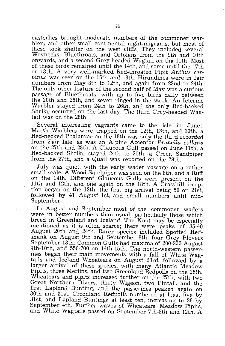easterlies brought moderate numbers of the commoner warblers and other small continental night-migrants, but most of these took shelter on the west cliffs. They included several Wrynecks, Bluethroats, and Ortolans from the 9th and 10th onwards, and a second Grey-headed Wagtail on the 11th. Most of these birds remained until the 14th, and some until the 17th or 18th. A very well-marked Red-throated Pipit *Anthus cervinus* was seen on the 16th and 18th. Hirundines were in fair numbers from May 8th to 12th, and again from 22nd to 24th. The only other feature of the second half of May was a curious passage of Bluethroats, with up to five birds daily between the 20th and 26th, and seven ringed in the week. An Icterine Warbler stayed from 24th to 26th, and the only Red-backed Shrike occurred on the last day. The third Grey-headed Wagtail was on the 28th.

Several interesting vagrants came to the isle in June: Marsh Warblers were trapped on the 12th, 13th, and 30th, a Red-necked Phalarope on the 18th was only the third recorded from Fair Isle, as was an Alpine Accentor *Prunella collaris*  on the 27th and 28th. A Glaucous Gull passed on June 11th, a Red-backed Shrike stayed 24th to 30th, a Green Sandpiper from the 27th, and a Quail was reported on the 29th.

July was quiet, with the early wader passage on a rather small scale. A Wood Sandpiper was seen on the 8th, and a Ruff on the 14th. Different Glaucous Gulls were present on the 11 th and 12th, and one again on the 18th. A Crossbill irruption began on the 12th, the first big arrival being 50 on 21st, followed by 41 August 1st, and small numbers until mid-September.

In August and September most of the commoner waders were in better numbers than usual, particularly those which breed in Greenland and Iceland. The Knot may be especially mentioned as it is often scarce; there were peaks of 35-40 August 20th and 24th. Rarer species included Spotted Redshank on August 9th and September 8th, four Grey Plovers September 13th. Common Gulls had maxima of 200-250 August 9th-10th, and 550-700 on 14th-15th. The north-western passerines began their main movements with a fall of White Wagtails and Iceland Wheatears on August 23rd, followed by a larger arrival of these species, with many Atlantic Meadow Pipits, three Merlins, and two Greenland Redpolls on the 26th. Wheatears and pipits increased further on the 27th, with two Great Northern Divers, thirty Wigeon, two Pintail, and the first Lapland Bunting, and the passerines peaked again on 30th and 31st. Greenland Redpolls numbered at least five by 31st, and Lapland Buntings at least ten, increasing to 26 by September 4th. Further waves of Wheatears, Meadow Pipits, and White Wagtails passed On September 7th-8th and 12th. A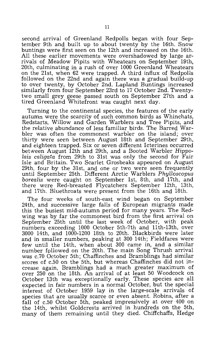second arrival of Greenland Redpolls began with four September 9th and built up to about twenty by the 16th. Snow buntings were first seen on the 12th and increased on the 16th. All these earlier movements were overshadowed by large arrivals of Meadow Pipits with Wheatears on September 19th, 20th, culminating in a rush of over 1000 Greenland Wheatears on the 21st, when 62 were trapped. A third influx of Redpolls followed on the 22nd and again there was a gradual build-up to over twenty, by October 2nd. Lapland Buntings increased similarly from four September 23rd to 17 October 2nd. Twentytwo small grey geese passed south on September 27th and a tired Greenland Whitefront was caught next day.

Turning to the continental species, the features of the early autumn were the scarcity of such common birds as Whinchats, Redstarts, Willow and Garden Warblers and Tree Pipits, and the relative abundance of less familiar birds. The Barred Warbler was often the commonest warbler on the island; over thirty were seen between August 18th and September 29th, and eighteen trapped. Six or seven different Icterines occurred between August 12th and 29th, and a Booted Warbler *Hippolais caligata* from 29th to 31st was only the second for Fair Isle and Britain. Two Scarlet Grosbeaks appeared on August 29th, four by the 31st, and one or two were seen frequently until September 25th. Different Arctic Warblers *PhyUoscopus borealis* were caught on September 1st, 8th, and 17th, and there were Red-breasted Flycatchers September 12th, 13th, and 17th. Bluethroats were present from the 16th and 18th.

The four weeks of south-east wind began on September 24th, and successive large falls of European migrants made this the busiest mid-autumn period for many years. The Redwing was by far the commonest bird from the first arrival on September 25th until the last week of October, with peak numbers exceeding 1000 October 5th-7th and 11th-13th, over 3000 14th, and 1000-1200 18th to 20th. Blackbirds were later and in smaller numbers, peaking at 300 14th; Fieldfares were few until the 14th, when about 300 came in, and a similar number followed on the 20th. The main Song Thrush arrival was c.70 October 5th; Chaffinches and Bramblings had similar scores of c.50 on the 5th, but whereas Chaffinches did not increase again, Bramblings had a much greater maximum of over 250 on the 18th. An arrival of at least 50 Woodcock on October 13th was exceptionally early. These species are all expected in fair numbers in a normal October, but the special interest of October 1959 lay in the large-scale arrivals of species that are usually scarce or even absent. Robins, after a fall of c.50 October 5th, peaked impressively at over 400 on the 14th, whilst Goldcrests arrived in hundreds on the 5th, many of them remaining until they died. Chiffchaffs, Hedge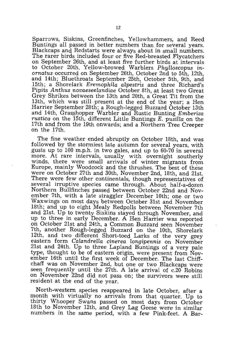Sparrows, Siskins, Greenfinches, Yellowhammers, and Reed Buntings all passed in better numbers than for several years. Blackcaps and Redstarts were always about in small numbers. The rarer birds included four or five Red-breasted Flycatchers on September 26th, and at least five further birds at intervals to October 20th. Yellow-browed Warblers *Phylloscopus inornatus* occurred on September 26th, October 2nd to 5th, 12th, and 14th; Bluethroats September 25th, October 5th, 9th, and 15th; a Shorelark *Eremophila alpestris* and three Richard's Pipits *Anthus novaeseelandiae* October 8th, at least two Great Grey Shrikes between the 13th and 20th, a Great Tit from the 13th, which was still present at the end of the year; a Hen Harrier September 28th; a Rough-legged Buzzard October 13th and 14th, Gras§hopper Warbler and Rustic Bunting *Emberiza rustic a* on the 15th, different Little Buntings *E. pusilla* on the 17th and from the 19th onwards; and a Northern Tree Creeper on the 17th.

The fine. weather ended abruptly on October 18th, and was followed by the stormiest late autumn for several years, with gusts up to 100 m.p.h. in two gales, and up to 60-70 in several more. At rare intervals, usually with overnight southerly winds, there were small arrivals of winter migrants from Europe, mainly Woodcock and the thrushes. The best of these were on October 27th and 30th, November 2nd, 18th, and 21st. There were few other continentals, though representatives of several irruptive species came through. About half-a-dozen Northern Bullfinches passed between October 22nd and November 7th, with a late straggler December 10th; one or two Waxwings on most days between October 31st and November 18th; and up to eight Mealy Redpolls between November 7th and 21st. Up to twenty Siskins stayed through November, and up to three in early December. A Hen Harrier was reported on October 21st and 24th, a Common Buzzard seen November 7th, another Rough-legged Buzzard on the 10th, Shorelark 12th, and two different Short-toed Larks of the very grey eastern form *Calandrella cinerea longipennis* on November 21st and 24th. Up to three Lapland Buntings of a very pale type, thought to be of eastern origin, were present from November 16th until the first week of December. The last Chiffchaff was on November 2nd, but one or two Blackcaps were seen frequently until the 27th. A late arrival of c.20 Robins on November 22nd did not pass on; the survivors were still resident at the end of the year.

North-western species reappeared in late October, after a month with virtually no arrivals from that quarter. Up to thirty Whooper Swans passed on most days from October 18th to November 12th, and Grey Lag Geese were in similar numbers in the same period, with a few Pink-feet. A Bar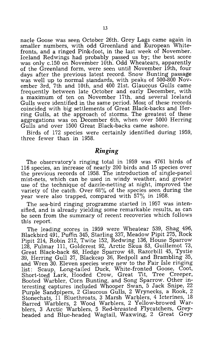nacle Goose was seen October 26th. Grey Lags came again in smaller numbers, with odd Greenland and European Whitefronts, and a ringed Pink-foot, in the last week of November. Iceland Redwings had probably passed us by; the best score was only c.150 on November 10th. Odd Wheatears, apparently of the Greenland form, were seen until November 19th, four days after the previous latest record. Snow Bunting passage was well up to normal standards, with peaks of 500-800 November 3rd, 7th and 10th, and 400 21st. Glaucous Gulls came frequently between late October and early December, with a maximum of ten on November 17th, and several Iceland Gulls were identified in the same period. Most of these records coincided with big settlements of Great Black-backs and Herring Gulls, at the approach of storms. The greatest of these aggregations was on December 6th, when over 5000 Herring Gulls and over 1500 Great Black-backs came ashore.

Birds of 172 species were certainly identified during 1959, three fewer than in 1958.

## *Ringing*

The observatory's ringing total in 1959 was 4761 birds of 116 species, an increase of nearly 200 birds and 15 species over the previous records of 1958. The introduction of single-panel mist-nets, which can be used in windy weather, and greater use of the technique of dazzle-netting at night, improved the variety of the catch. Over 68% of the species seen during the year were also trapped, compared with 57% in 1958.

The sea-bird ringing programme started in 1957 was intensified, and is already yielding some remarkable results, as can be seen from the summary of recent recoveries which follows this report.

The leading scores in 1959 were Wheatear 539, Shag 496, Blackbird 491, Puffin 345, Starling 337, Meadow Pipit 275, Rock Pipit 214, Robin 212, Twite 152, Redwing 136, House Sparrow 128, Fulmar 111, Goldcrest 92, Arctic Skua 83, Guillemot 73, Great Black-back 68, Hedge Sparrow 48, Razorbill 45, Tystie 39, Herring Gull 37, Blackcap 36, Redpoll and Brambling 35, and Wren 30. Eleven species were new to the Fair Isle ringing list: Scaup, Long-tailed Duck, White-fronted Goose, Coot, Short-toed Lark, Hooded Crow, Great Tit, Tree Creeper, Booted Warbler, Corn Bunting, and Song Sparrow. Other interesting captures included Whooper Swan, 5 Jack Snipe, 22 Purple Sandpipers, 2 Glaucous Gulls, 2 Wrynecks, a Rook, 2 Stonechats, 11 Bluethroats, 3 Marsh Warblers, 4 Icterines, 18 Barred Warblers, 2 Wood Warblers, 2 Yellow-browed Warblers, 3 Arctic Warblers, 5 Red-breasted Flycatchers, Greyheaded and Blue-headed Wagtail, Waxwing, 2 Great Grey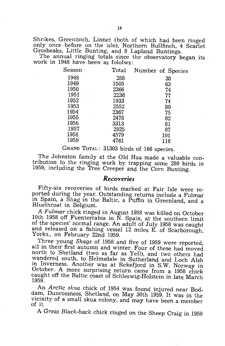Shrikes, Greentinch, Linnet (both of which had been ringed only once before on the isle), Northern Bullfinch, 4 Scarlet Grosbeaks, Little Bunting, and 8 Lapland Buntings.

The annual ringing totals since the observatory began its work in 1948 have been as fololws:

| Season | Total | Number of Species |
|--------|-------|-------------------|
| 1948   | 288   | 38                |
| 1949   | 1505  | 63                |
| 1950   | 2366  | 74                |
| 1951   | 2236  | 77                |
| 1952   | 1933  | 74                |
| 1953   | 2552  | 80                |
| 1954   | 2367  | 75                |
| 1955   | 2478  | 82                |
| 1956   | 3313  | 81                |
| 1957   | 2925  | 87                |
| 1958   | 4579  | 101               |
| 1959   | 4761  | 116               |
|        |       |                   |

GRAND TOTAL: 31303 birds of 166 species.

The Johnston family at the Old Haa made a valuable contribution to the ringing work by trapping some 280 birds in 1959, including the Tree Creeper and the Corn Bunting.

### *Recoyeries*

Fifty-six recoveries of birds marked at Fair Isle were reported during the year. Outstanding returns include a Fulmar in Spain, a Shag in the Baltic, a Puffin in Greenland, and a Bluethroat in Belgium.

A *Fulmar* chick ringed in August 1958 was killed on October 10th 1958 off Fuenterrabia in N. Spain, at the southern limit of the species' normal range. An adult of July 1958 was caught and released on a fishing vessel 12 miles E. of Scarborough, Yorks., on February 22nd 1959.

Three young *Shags* of 1958 and five of 1959 were reported, all in their first autumn and winter. Four of these had moved north to Shetland (two as far as Yell), and two others had wandered south, to Helmsdale in Sutherland and Loch Alsh in Inverness. Another was at Rekefjord in S.W. Norway in October. A more surprising return came from a 1958 chick caught off the Baltic coast of Schleswig-Holstein in late March 1959.

An *Arctic skua chick* of 1954 was found injured near Boddam, Dunrossness, Shetland, on May 30th 1959. It was in the vicinity of a small skua colony, and may have been a member of it.

A *Great Black-back* chick ringed on the Sheep Craig in 1959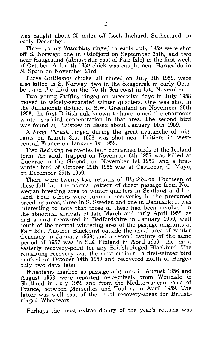was caught about 25 miles off Loch Inchard, Sutherland, in early December.

Three young *Razorbills* ringed in early JUly 1959 were shot off S. Norway; one in Oslofjord on September 25th, and two near Haugesund (almost due east of Fair Isle) in the first week of October. A fourth 1959 chick was caught near Baracaldo in N. Spain on November 23rd.

Three *Guillemot* chicks, all ringed on July 8th 1959, were also killed in S. Norway; two in the Skagerrak in early October, and the third on the North Sea coast in late November.

Two young *Puffins* ringed on successive days in July 1958 moved to widely-separated winter quarters. One was shot in the Julianehab district of S.W. Greenland on November 28th 1958, the first British auk known to have joined the enormous winter sea-bird concentration in that area. The second bird was found at Plaistow in Essex about January 14th 1959.

A *Song Thrush* ringed during the great avalanche of migrants on March 31st 1958 was shot near Poitiers in westcentral France on January 1st 1959.

Two *Redwing* recoveries both concerned birds of the Iceland form. An adult trapped on November 8th 1957 was killed at Queyrac in the Gironde on November 1st 1959, and a firstwinter bird of October 29th 1956 was at Castlebar, C. Mayo, on December 29th 1959.

There were twenty-two returns of *Blackbirds*. Fourteen of these fall into the normal pattern of direct passage from Norwegian breeding area to winter quarters in Scotland and Ireland. Four others were summer recoveries in the presumed breeding areas, three in S. Sweden and one in Denmark; it was interesting to note that three of these had been involved in the abnormal arrivals of late March and early April 1958, as had a bird recovered in Bedfordshire in 'January 1959, well south of the normal wintering area of the passage-migrants at Fair Isle. Another Blackbird outside the usual area of winter Germany in January 1959; and a second capture of the same period of 1957 was in S.E. Finland in April 1959, the most easterly recovery-point for any British-ringed Blackbird. The remaining recovery was the most curious: a first-winter bird marked on October 14th 1959 and recovered north of Bergen only two days later.

*Wheatears* marked as passage-migrants in August 1956 and August 1958 were reported respectively from Weisdale in Shetland in July 1959 and from the Mediterranean coast of France, between Marseilles and Toulon, in April 1959. The latter was well east of the usual recovery-areas for Britishringed Wheatears.

Perhaps the most extraordinary of the year's returns was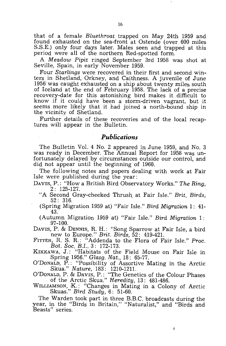that of a female *Bluethroat* trapped on May 24th 1959 and found exhausted on the sea-front at Ostende (over 600 miles S.S.E.) only four days later. Males seen and trapped at this period were all of the northern Red-spotted form.

A *Meadow Pipit* ringed September 3rd 1958 was shot at Seville, Spain, in early November 1959.

Four *Starlings* were recovered in their first and second winters in Shetland, Orkney, and Caithness. A juvenile of June 1956 was caught exhausted on a ship about twenty miles south of Iceland at the end of February 1958. The lack of a precise recovery-date for this astonishing bird makes it difficult to know if it could have been a storm-driven vagrant, but it seems more likely that it had joined a north-bound ship in the vicinity of Shetland.

Further details of these recoveries and of the local recaptures will appear in the Bulletin.

### *Publications*

The Bulletin Vol. 4 No. 2 appeared in June 1959, and No. 3 was ready in December. The Annual Report for 1958 was unfortunately delayed by circumstances outside our control, and did not appear until the beginning of 1960.

The following notes and papers dealing with work at Fair Isle were published during the year:

- DAVIS, P.: "How a British Bird Observatory Works." *The Ring,*  2: 125-127.
	- "A Second Gray-cheeked Thrush. at Fair Isle." *Brit. Birds,*  52: 316.
	- (Spring Migration 1959 at) "Fair Isle." *Bird Migration* 1: 41- 43.

(Autumn Migration 1959 at) "Fair Isle." *Bird Migration* 1: 97-100.

DAVIS, P. & DENNIS, R. H.: "Song Sparrow at Fair Isle, a bird new to Europe." *Brit. Birds,* 52: 419-42l.

FITTER, R. S. R.: "Addenda to the Flora of Fair Isle." Proc. *Bot. Soc. B.!.,* 3: 172-173.

KIKKAWA, J.: "Habitats of the Field Mouse on Fair Isle in Spring 1956." *Glasg. Nat.,* 18: 65-77.

O'DONALD, P.: "Possibility of Assortive Mating in the Arctic Skua." *Nature,* 183: 1210-121l.

O'DONALD, P. & DAVIS, P.: "The Genetics of the Colour Phases of the Arctic Skua." *Heredity,* 13: 481-486.

WILLIAMSON, K.: "Changes in Mating in a Colony of Arctic Skuas." *Bird Study,* 6: 51-60.

The Warden took part in three B.B.C. broadcasts during the year, in the "Birds in Britain," "Naturalist," and "Birds and Beasts" series.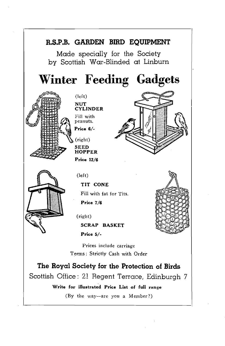

Write for illustrated Price List of full range

(By the way-are you a Member?)